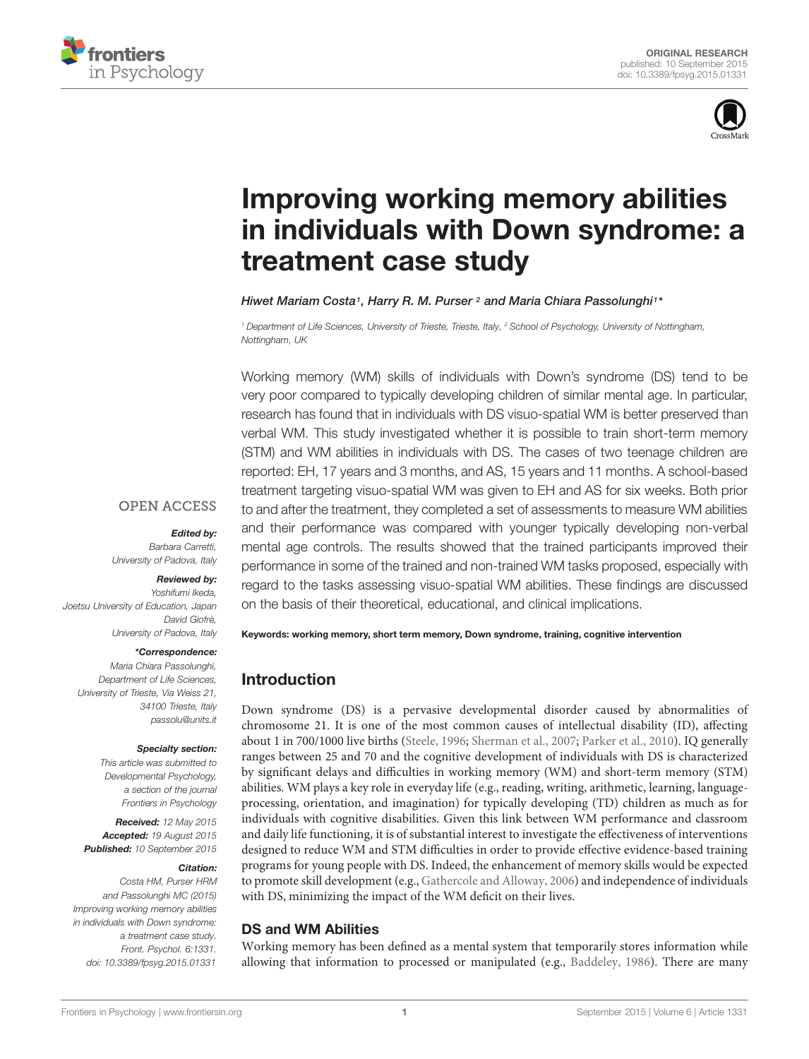



# Improving working memory abilities [in individuals with Down syndrome: a](http://journal.frontiersin.org/article/10.3389/fpsyg.2015.01331/abstract) treatment case study

#### *[Hiwet Mariam Costa1](http://loop.frontiersin.org/people/198749/overview), [Harry R. M. Purser](http://loop.frontiersin.org/people/99578/overview) <sup>2</sup> and [Maria Chiara Passolunghi1](http://loop.frontiersin.org/people/199371/overview)\**

*<sup>1</sup> Department of Life Sciences, University of Trieste, Trieste, Italy, <sup>2</sup> School of Psychology, University of Nottingham, Nottingham, UK*

Working memory (WM) skills of individuals with Down's syndrome (DS) tend to be very poor compared to typically developing children of similar mental age. In particular, research has found that in individuals with DS visuo-spatial WM is better preserved than verbal WM. This study investigated whether it is possible to train short-term memory (STM) and WM abilities in individuals with DS. The cases of two teenage children are reported: EH, 17 years and 3 months, and AS, 15 years and 11 months. A school-based treatment targeting visuo-spatial WM was given to EH and AS for six weeks. Both prior to and after the treatment, they completed a set of assessments to measure WM abilities and their performance was compared with younger typically developing non-verbal mental age controls. The results showed that the trained participants improved their performance in some of the trained and non-trained WM tasks proposed, especially with regard to the tasks assessing visuo-spatial WM abilities. These findings are discussed on the basis of their theoretical, educational, and clinical implications.

# **OPEN ACCESS**

*Edited by:*

*Barbara Carretti, University of Padova, Italy*

#### *Reviewed by:*

*Yoshifumi Ikeda, Joetsu University of Education, Japan David Giofrè, University of Padova, Italy*

#### *\*Correspondence:*

*Maria Chiara Passolunghi, Department of Life Sciences, University of Trieste, Via Weiss 21, 34100 Trieste, Italy passolu@units.it*

#### *Specialty section:*

*This article was submitted to Developmental Psychology, a section of the journal Frontiers in Psychology*

*Received: 12 May 2015 Accepted: 19 August 2015 Published: 10 September 2015*

#### *Citation:*

*Costa HM, Purser HRM and Passolunghi MC (2015) Improving working memory abilities in individuals with Down syndrome: a treatment case study. Front. Psychol. 6:1331. doi: [10.3389/fpsyg.2015.01331](http://dx.doi.org/10.3389/fpsyg.2015.01331)*

Keywords: working memory, short term memory, Down syndrome, training, cognitive intervention

# Introduction

Down syndrome (DS) is a pervasive developmental disorder caused by abnormalities of chromosome 21. It is one of the most common causes of intellectual disability (ID), affecting about 1 in 700/1000 live births [\(Steele, 1996;](#page-11-0) [Sherman et al., 2007](#page-11-1); [Parker et al.](#page-11-2), [2010\)](#page-11-2). IQ generally ranges between 25 and 70 and the cognitive development of individuals with DS is characterized by significant delays and difficulties in working memory (WM) and short-term memory (STM) abilities. WM plays a key role in everyday life (e.g., reading, writing, arithmetic, learning, languageprocessing, orientation, and imagination) for typically developing (TD) children as much as for individuals with cognitive disabilities. Given this link between WM performance and classroom and daily life functioning, it is of substantial interest to investigate the effectiveness of interventions designed to reduce WM and STM difficulties in order to provide effective evidence-based training programs for young people with DS. Indeed, the enhancement of memory skills would be expected to promote skill development (e.g., [Gathercole and Alloway, 2006\)](#page-10-0) and independence of individuals with DS, minimizing the impact of the WM deficit on their lives.

#### DS and WM Abilities

Working memory has been defined as a mental system that temporarily stores information while allowing that information to processed or manipulated (e.g., [Baddeley, 1986\)](#page-10-1). There are many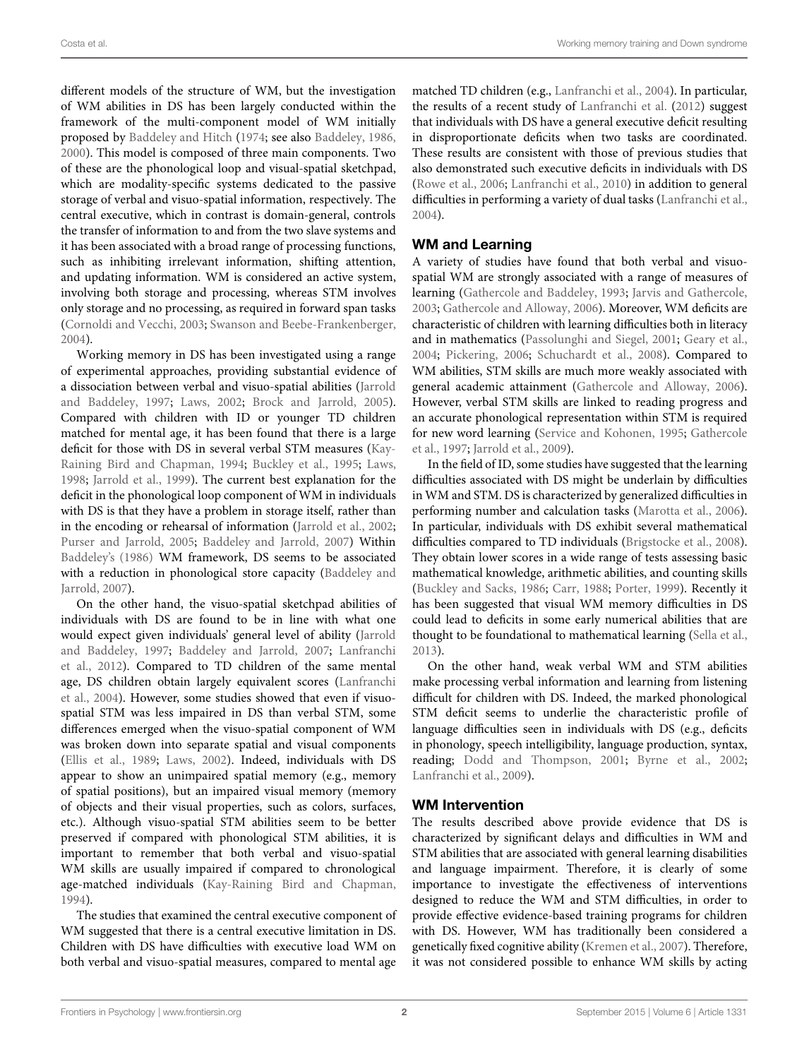different models of the structure of WM, but the investigation of WM abilities in DS has been largely conducted within the framework of the multi-component model of WM initially proposed by [Baddeley and Hitch](#page-10-2) [\(1974](#page-10-2); see also [Baddeley, 1986](#page-10-1), [2000](#page-10-3)). This model is composed of three main components. Two of these are the phonological loop and visual-spatial sketchpad, which are modality-specific systems dedicated to the passive storage of verbal and visuo-spatial information, respectively. The central executive, which in contrast is domain-general, controls the transfer of information to and from the two slave systems and it has been associated with a broad range of processing functions, such as inhibiting irrelevant information, shifting attention, and updating information. WM is considered an active system, involving both storage and processing, whereas STM involves only storage and no processing, as required in forward span tasks [\(Cornoldi and Vecchi, 2003](#page-10-4); [Swanson and Beebe-Frankenberger](#page-11-3), [2004](#page-11-3)).

Working memory in DS has been investigated using a range of experimental approaches, providing substantial evidence of a dissociation [between verbal and visuo-spatial abilities \(](#page-10-5)Jarrold and Baddeley, [1997](#page-10-5); [Laws](#page-11-4), [2002](#page-11-4); [Brock and Jarrold](#page-10-6), [2005](#page-10-6)). Compared with children with ID or younger TD children matched for mental age, it has been found that there is a large deficit for those with DS in [several](#page-10-7) [verbal](#page-10-7) [STM](#page-10-7) [measures](#page-10-7) [\(](#page-10-7)Kay-Raining Bird and Chapman, [1994;](#page-10-7) [Buckley et al., 1995;](#page-10-8) [Laws](#page-11-5), [1998](#page-11-5); [Jarrold et al., 1999](#page-10-9)). The current best explanation for the deficit in the phonological loop component of WM in individuals with DS is that they have a problem in storage itself, rather than in the encoding or rehearsal of information [\(Jarrold et al.](#page-10-10), [2002](#page-10-10); [Purser and Jarrold](#page-11-6), [2005;](#page-11-6) [Baddeley and Jarrold, 2007](#page-10-11)) Within [Baddeley'](#page-10-1)s [\(1986\)](#page-10-1) WM framework, DS seems to be associated with a [reduction in phonological store capacity \(](#page-10-11)Baddeley and Jarrold, [2007\)](#page-10-11).

On the other hand, the visuo-spatial sketchpad abilities of individuals with DS are found to be in line with what one would expect [given individuals' general level of ability \(](#page-10-5)Jarrold and Baddeley, [1997](#page-10-5); [Baddeley and Jarrold](#page-10-11)[,](#page-11-7) [2007](#page-10-11)[;](#page-11-7) Lanfranchi et al., [2012](#page-11-7)). Compared to TD children of the same mental age, [DS](#page-11-8) [children](#page-11-8) [obtain](#page-11-8) [largely](#page-11-8) [equivalent](#page-11-8) [scores](#page-11-8) [\(](#page-11-8)Lanfranchi et al., [2004](#page-11-8)). However, some studies showed that even if visuospatial STM was less impaired in DS than verbal STM, some differences emerged when the visuo-spatial component of WM was broken down into separate spatial and visual components [\(Ellis et al., 1989](#page-10-12); [Laws, 2002\)](#page-11-4). Indeed, individuals with DS appear to show an unimpaired spatial memory (e.g., memory of spatial positions), but an impaired visual memory (memory of objects and their visual properties, such as colors, surfaces, etc.). Although visuo-spatial STM abilities seem to be better preserved if compared with phonological STM abilities, it is important to remember that both verbal and visuo-spatial WM skills are usually impaired if compared to chronological age-matched individuals [\(Kay-Raining Bird and Chapman](#page-10-7), [1994](#page-10-7)).

The studies that examined the central executive component of WM suggested that there is a central executive limitation in DS. Children with DS have difficulties with executive load WM on both verbal and visuo-spatial measures, compared to mental age

matched TD children (e.g., [Lanfranchi et al.](#page-11-8), [2004\)](#page-11-8). In particular, the results of a recent study of [Lanfranchi et al.](#page-11-7) [\(2012\)](#page-11-7) suggest that individuals with DS have a general executive deficit resulting in disproportionate deficits when two tasks are coordinated. These results are consistent with those of previous studies that also demonstrated such executive deficits in individuals with DS [\(Rowe et al., 2006;](#page-11-9) [Lanfranchi et al., 2010\)](#page-11-10) in addition to general difficulties in performing a variety of dual tasks [\(Lanfranchi et al.](#page-11-8), [2004\)](#page-11-8).

# WM and Learning

A variety of studies have found that both verbal and visuospatial WM are strongly associated with a range of measures of learning [\(Gathercole and Baddeley, 1993](#page-10-13); [Jarvis and Gathercole,](#page-10-14) [2003;](#page-10-14) [Gathercole and Alloway, 2006](#page-10-0)). Moreover, WM deficits are characteristic of children with learning difficulties both in literacy and in mathematics [\(Passolunghi and Siegel](#page-11-11), [2001](#page-11-11); [Geary et al.](#page-10-15), [2004;](#page-10-15) [Pickering](#page-11-12), [2006](#page-11-12); [Schuchardt et al.](#page-11-13), [2008\)](#page-11-13). Compared to WM abilities, STM skills are much more weakly associated with general academic attainment [\(Gathercole and Alloway](#page-10-0), [2006\)](#page-10-0). However, verbal STM skills are linked to reading progress and an accurate phonological representation within STM is required for [new word learning](#page-10-16) [\(Service and Kohonen](#page-11-14)[,](#page-10-16) [1995](#page-11-14)[;](#page-10-16) Gathercole et al., [1997;](#page-10-16) [Jarrold et al., 2009](#page-10-17)).

In the field of ID, some studies have suggested that the learning difficulties associated with DS might be underlain by difficulties in WM and STM. DS is characterized by generalized difficulties in performing number and calculation tasks [\(Marotta et al., 2006\)](#page-11-15). In particular, individuals with DS exhibit several mathematical difficulties compared to TD individuals [\(Brigstocke et al., 2008\)](#page-10-18). They obtain lower scores in a wide range of tests assessing basic mathematical knowledge, arithmetic abilities, and counting skills [\(Buckley and Sacks](#page-10-19), [1986;](#page-10-19) [Carr](#page-10-20), [1988;](#page-10-20) [Porter](#page-11-16), [1999](#page-11-16)). Recently it has been suggested that visual WM memory difficulties in DS could lead to deficits in some early numerical abilities that are thought to be foundational to mathematical learning [\(Sella et al.](#page-11-17), [2013\)](#page-11-17).

On the other hand, weak verbal WM and STM abilities make processing verbal information and learning from listening difficult for children with DS. Indeed, the marked phonological STM deficit seems to underlie the characteristic profile of language difficulties seen in individuals with DS (e.g., deficits in phonology, speech intelligibility, language production, syntax, reading; [Dodd and Thompson](#page-10-21), [2001](#page-10-21); [Byrne et al., 2002](#page-10-22); [Lanfranchi et al.](#page-11-18), [2009\)](#page-11-18).

# WM Intervention

The results described above provide evidence that DS is characterized by significant delays and difficulties in WM and STM abilities that are associated with general learning disabilities and language impairment. Therefore, it is clearly of some importance to investigate the effectiveness of interventions designed to reduce the WM and STM difficulties, in order to provide effective evidence-based training programs for children with DS. However, WM has traditionally been considered a genetically fixed cognitive ability [\(Kremen et al.](#page-11-19), [2007](#page-11-19)). Therefore, it was not considered possible to enhance WM skills by acting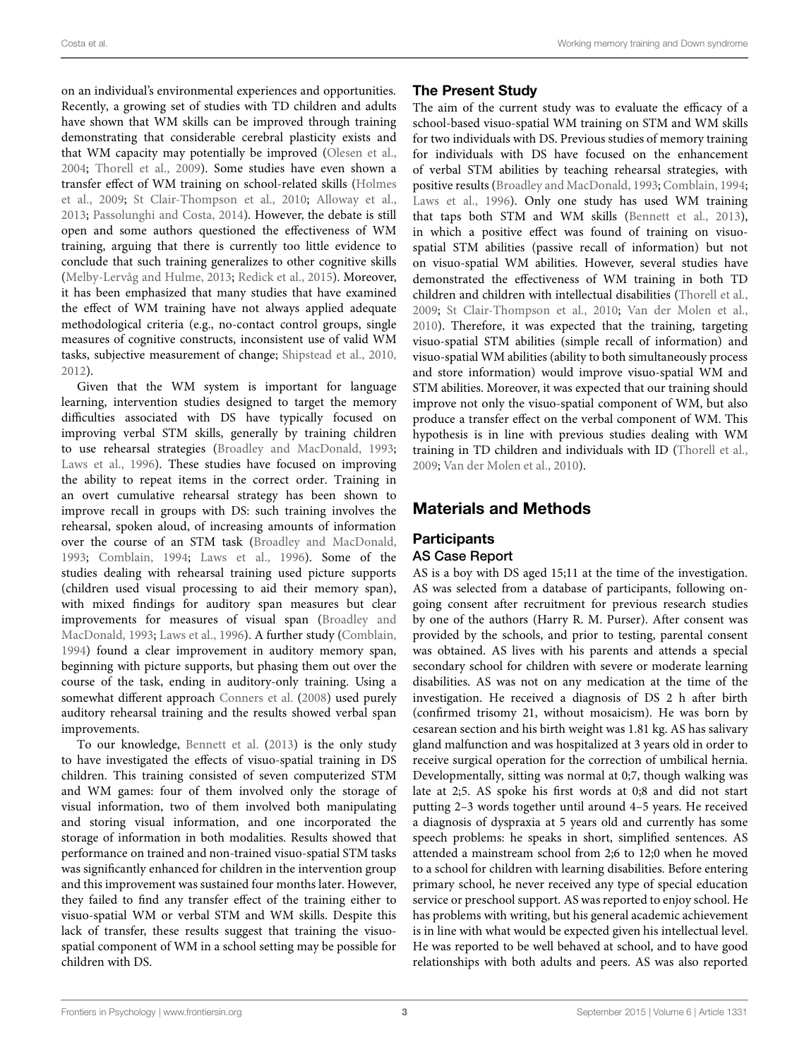on an individual's environmental experiences and opportunities. Recently, a growing set of studies with TD children and adults have shown that WM skills can be improved through training demonstrating that considerable cerebral plasticity exists and that WM capacity may potentially be improved [\(Olesen et al.,](#page-11-20) [2004](#page-11-20); [Thorell et al., 2009\)](#page-11-21). Some studies have even shown a trans[fer effect of WM training on school-related skills \(](#page-10-23)Holmes et al., [2009](#page-10-23); [St Clair-Thompson et al.](#page-11-22), [2010;](#page-11-22) [Alloway et al.,](#page-10-24) [2013](#page-10-24); [Passolunghi and Costa](#page-11-23), [2014](#page-11-23)). However, the debate is still open and some authors questioned the effectiveness of WM training, arguing that there is currently too little evidence to conclude that such training generalizes to other cognitive skills [\(Melby-Lervåg and Hulme, 2013;](#page-11-24) [Redick et al., 2015\)](#page-11-25). Moreover, it has been emphasized that many studies that have examined the effect of WM training have not always applied adequate methodological criteria (e.g., no-contact control groups, single measures of cognitive constructs, inconsistent use of valid WM tasks, subjective measurement of change; [Shipstead et al.](#page-11-26), [2010,](#page-11-26) [2012](#page-11-27)).

Given that the WM system is important for language learning, intervention studies designed to target the memory difficulties associated with DS have typically focused on improving verbal STM skills, generally by training children to use rehearsal strategies [\(Broadley and MacDonald](#page-10-25), [1993;](#page-10-25) [Laws et al.](#page-11-28), [1996\)](#page-11-28). These studies have focused on improving the ability to repeat items in the correct order. Training in an overt cumulative rehearsal strategy has been shown to improve recall in groups with DS: such training involves the rehearsal, spoken aloud, of increasing amounts of information over the course of an STM task [\(Broadley and MacDonald,](#page-10-25) [1993](#page-10-25); [Comblain, 1994](#page-10-26); [Laws et al., 1996](#page-11-28)). Some of the studies dealing with rehearsal training used picture supports (children used visual processing to aid their memory span), with mixed findings for auditory span measures but clear improveme[nts for measures of visual span \(](#page-10-25)Broadley and MacDonald, [1993;](#page-10-25) [Laws et al., 1996\)](#page-11-28). A further study [\(Comblain,](#page-10-26) [1994](#page-10-26)) found a clear improvement in auditory memory span, beginning with picture supports, but phasing them out over the course of the task, ending in auditory-only training. Using a somewhat different approach [Conners et al.](#page-10-27) [\(2008](#page-10-27)) used purely auditory rehearsal training and the results showed verbal span improvements.

To our knowledge, [Bennett et al.](#page-10-28) [\(2013](#page-10-28)) is the only study to have investigated the effects of visuo-spatial training in DS children. This training consisted of seven computerized STM and WM games: four of them involved only the storage of visual information, two of them involved both manipulating and storing visual information, and one incorporated the storage of information in both modalities. Results showed that performance on trained and non-trained visuo-spatial STM tasks was significantly enhanced for children in the intervention group and this improvement was sustained four months later. However, they failed to find any transfer effect of the training either to visuo-spatial WM or verbal STM and WM skills. Despite this lack of transfer, these results suggest that training the visuospatial component of WM in a school setting may be possible for children with DS.

# The Present Study

The aim of the current study was to evaluate the efficacy of a school-based visuo-spatial WM training on STM and WM skills for two individuals with DS. Previous studies of memory training for individuals with DS have focused on the enhancement of verbal STM abilities by teaching rehearsal strategies, with positive results [\(Broadley and MacDonald](#page-10-25), [1993](#page-10-25); [Comblain](#page-10-26), [1994](#page-10-26); [Laws et al., 1996](#page-11-28)). Only one study has used WM training that taps both STM and WM skills [\(Bennett et al.](#page-10-28), [2013](#page-10-28)), in which a positive effect was found of training on visuospatial STM abilities (passive recall of information) but not on visuo-spatial WM abilities. However, several studies have demonstrated the effectiveness of WM training in both TD children and children with intellectual disabilities [\(Thorell et al.](#page-11-21), [2009](#page-11-21); [St Clair-Thompson et al., 2010;](#page-11-22) [Van der Molen et al.](#page-11-29), [2010](#page-11-29)). Therefore, it was expected that the training, targeting visuo-spatial STM abilities (simple recall of information) and visuo-spatial WM abilities (ability to both simultaneously process and store information) would improve visuo-spatial WM and STM abilities. Moreover, it was expected that our training should improve not only the visuo-spatial component of WM, but also produce a transfer effect on the verbal component of WM. This hypothesis is in line with previous studies dealing with WM training in TD children and individuals with ID [\(Thorell et al.](#page-11-21), [2009](#page-11-21); [Van der Molen et al.](#page-11-29), [2010\)](#page-11-29).

# Materials and Methods

# **Participants**

# AS Case Report

AS is a boy with DS aged 15;11 at the time of the investigation. AS was selected from a database of participants, following ongoing consent after recruitment for previous research studies by one of the authors (Harry R. M. Purser). After consent was provided by the schools, and prior to testing, parental consent was obtained. AS lives with his parents and attends a special secondary school for children with severe or moderate learning disabilities. AS was not on any medication at the time of the investigation. He received a diagnosis of DS 2 h after birth (confirmed trisomy 21, without mosaicism). He was born by cesarean section and his birth weight was 1.81 kg. AS has salivary gland malfunction and was hospitalized at 3 years old in order to receive surgical operation for the correction of umbilical hernia. Developmentally, sitting was normal at 0;7, though walking was late at 2;5. AS spoke his first words at 0;8 and did not start putting 2–3 words together until around 4–5 years. He received a diagnosis of dyspraxia at 5 years old and currently has some speech problems: he speaks in short, simplified sentences. AS attended a mainstream school from 2;6 to 12;0 when he moved to a school for children with learning disabilities. Before entering primary school, he never received any type of special education service or preschool support. AS was reported to enjoy school. He has problems with writing, but his general academic achievement is in line with what would be expected given his intellectual level. He was reported to be well behaved at school, and to have good relationships with both adults and peers. AS was also reported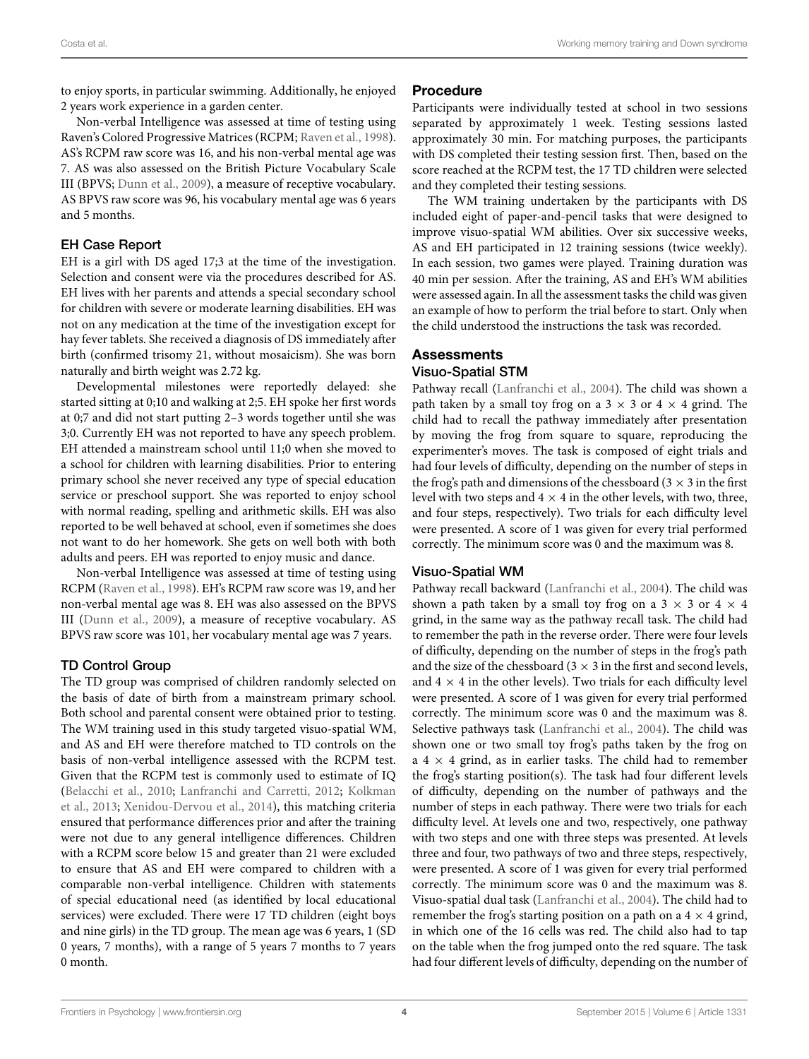to enjoy sports, in particular swimming. Additionally, he enjoyed 2 years work experience in a garden center.

Non-verbal Intelligence was assessed at time of testing using Raven's Colored Progressive Matrices (RCPM; [Raven et al., 1998](#page-11-30)). AS's RCPM raw score was 16, and his non-verbal mental age was 7. AS was also assessed on the British Picture Vocabulary Scale III (BPVS; [Dunn et al.](#page-10-29), [2009](#page-10-29)), a measure of receptive vocabulary. AS BPVS raw score was 96, his vocabulary mental age was 6 years and 5 months.

# EH Case Report

EH is a girl with DS aged 17;3 at the time of the investigation. Selection and consent were via the procedures described for AS. EH lives with her parents and attends a special secondary school for children with severe or moderate learning disabilities. EH was not on any medication at the time of the investigation except for hay fever tablets. She received a diagnosis of DS immediately after birth (confirmed trisomy 21, without mosaicism). She was born naturally and birth weight was 2.72 kg.

Developmental milestones were reportedly delayed: she started sitting at 0;10 and walking at 2;5. EH spoke her first words at 0;7 and did not start putting 2–3 words together until she was 3;0. Currently EH was not reported to have any speech problem. EH attended a mainstream school until 11;0 when she moved to a school for children with learning disabilities. Prior to entering primary school she never received any type of special education service or preschool support. She was reported to enjoy school with normal reading, spelling and arithmetic skills. EH was also reported to be well behaved at school, even if sometimes she does not want to do her homework. She gets on well both with both adults and peers. EH was reported to enjoy music and dance.

Non-verbal Intelligence was assessed at time of testing using RCPM [\(Raven et al.](#page-11-30), [1998](#page-11-30)). EH's RCPM raw score was 19, and her non-verbal mental age was 8. EH was also assessed on the BPVS III [\(Dunn et al., 2009\)](#page-10-29), a measure of receptive vocabulary. AS BPVS raw score was 101, her vocabulary mental age was 7 years.

# TD Control Group

The TD group was comprised of children randomly selected on the basis of date of birth from a mainstream primary school. Both school and parental consent were obtained prior to testing. The WM training used in this study targeted visuo-spatial WM, and AS and EH were therefore matched to TD controls on the basis of non-verbal intelligence assessed with the RCPM test. Given that the RCPM test is commonly used to estimate of IQ [\(Belacchi et al., 2010;](#page-10-30) [Lanfranchi and Carretti](#page-11-31)[,](#page-11-32) [2012](#page-11-31)[;](#page-11-32) Kolkman et al., [2013](#page-11-32); [Xenidou-Dervou et al., 2014\)](#page-11-33), this matching criteria ensured that performance differences prior and after the training were not due to any general intelligence differences. Children with a RCPM score below 15 and greater than 21 were excluded to ensure that AS and EH were compared to children with a comparable non-verbal intelligence. Children with statements of special educational need (as identified by local educational services) were excluded. There were 17 TD children (eight boys and nine girls) in the TD group. The mean age was 6 years, 1 (SD 0 years, 7 months), with a range of 5 years 7 months to 7 years 0 month.

# Procedure

Participants were individually tested at school in two sessions separated by approximately 1 week. Testing sessions lasted approximately 30 min. For matching purposes, the participants with DS completed their testing session first. Then, based on the score reached at the RCPM test, the 17 TD children were selected and they completed their testing sessions.

The WM training undertaken by the participants with DS included eight of paper-and-pencil tasks that were designed to improve visuo-spatial WM abilities. Over six successive weeks, AS and EH participated in 12 training sessions (twice weekly). In each session, two games were played. Training duration was 40 min per session. After the training, AS and EH's WM abilities were assessed again. In all the assessment tasks the child was given an example of how to perform the trial before to start. Only when the child understood the instructions the task was recorded.

### **Assessments** Visuo-Spatial STM

Pathway recall [\(Lanfranchi et al.](#page-11-8), [2004\)](#page-11-8). The child was shown a path taken by a small toy frog on a  $3 \times 3$  or  $4 \times 4$  grind. The child had to recall the pathway immediately after presentation by moving the frog from square to square, reproducing the experimenter's moves. The task is composed of eight trials and had four levels of difficulty, depending on the number of steps in the frog's path and dimensions of the chessboard ( $3 \times 3$  in the first level with two steps and  $4 \times 4$  in the other levels, with two, three, and four steps, respectively). Two trials for each difficulty level were presented. A score of 1 was given for every trial performed correctly. The minimum score was 0 and the maximum was 8.

# Visuo-Spatial WM

Pathway recall backward [\(Lanfranchi et al., 2004](#page-11-8)). The child was shown a path taken by a small toy frog on a  $3 \times 3$  or  $4 \times 4$ grind, in the same way as the pathway recall task. The child had to remember the path in the reverse order. There were four levels of difficulty, depending on the number of steps in the frog's path and the size of the chessboard ( $3 \times 3$  in the first and second levels, and  $4 \times 4$  in the other levels). Two trials for each difficulty level were presented. A score of 1 was given for every trial performed correctly. The minimum score was 0 and the maximum was 8. Selective pathways task [\(Lanfranchi et al., 2004](#page-11-8)). The child was shown one or two small toy frog's paths taken by the frog on a  $4 \times 4$  grind, as in earlier tasks. The child had to remember the frog's starting position(s). The task had four different levels of difficulty, depending on the number of pathways and the number of steps in each pathway. There were two trials for each difficulty level. At levels one and two, respectively, one pathway with two steps and one with three steps was presented. At levels three and four, two pathways of two and three steps, respectively, were presented. A score of 1 was given for every trial performed correctly. The minimum score was 0 and the maximum was 8. Visuo-spatial dual task [\(Lanfranchi et al.](#page-11-8), [2004](#page-11-8)). The child had to remember the frog's starting position on a path on a  $4 \times 4$  grind, in which one of the 16 cells was red. The child also had to tap on the table when the frog jumped onto the red square. The task had four different levels of difficulty, depending on the number of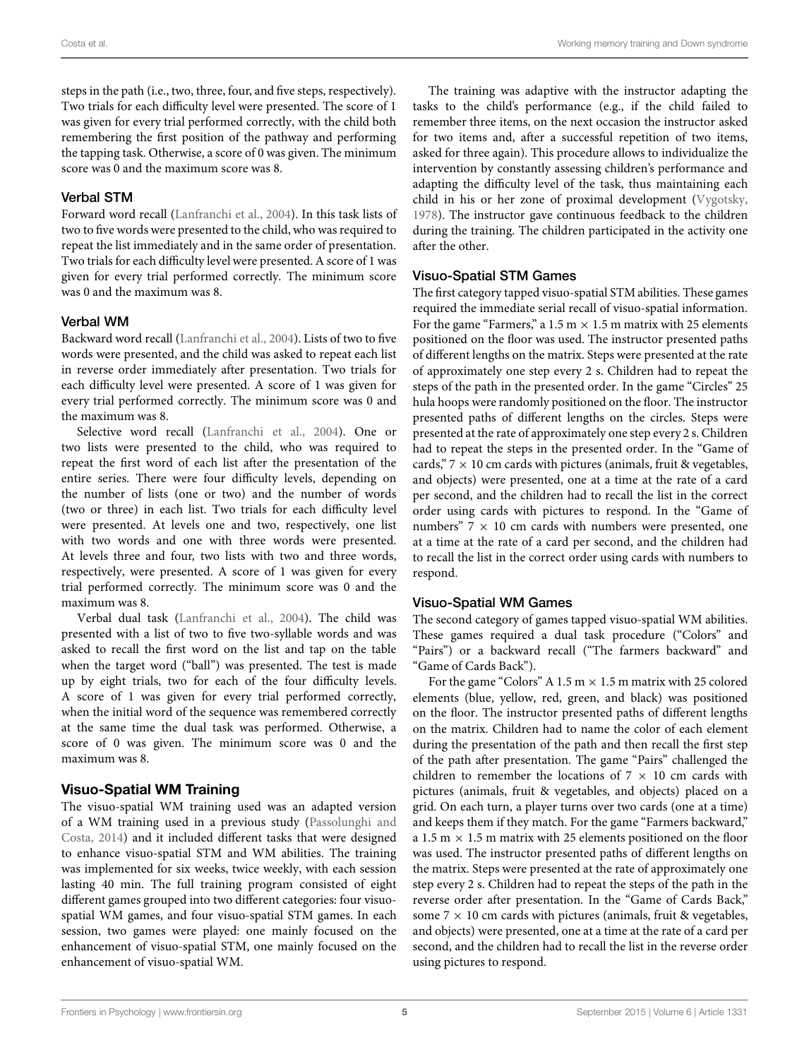steps in the path (i.e., two, three, four, and five steps, respectively). Two trials for each difficulty level were presented. The score of 1 was given for every trial performed correctly, with the child both remembering the first position of the pathway and performing the tapping task. Otherwise, a score of 0 was given. The minimum score was 0 and the maximum score was 8.

#### Verbal STM

Forward word recall [\(Lanfranchi et al.](#page-11-8), [2004](#page-11-8)). In this task lists of two to five words were presented to the child, who was required to repeat the list immediately and in the same order of presentation. Two trials for each difficulty level were presented. A score of 1 was given for every trial performed correctly. The minimum score was 0 and the maximum was 8.

#### Verbal WM

Backward word recall [\(Lanfranchi et al., 2004](#page-11-8)). Lists of two to five words were presented, and the child was asked to repeat each list in reverse order immediately after presentation. Two trials for each difficulty level were presented. A score of 1 was given for every trial performed correctly. The minimum score was 0 and the maximum was 8.

Selective word recall [\(Lanfranchi et al.](#page-11-8), [2004](#page-11-8)). One or two lists were presented to the child, who was required to repeat the first word of each list after the presentation of the entire series. There were four difficulty levels, depending on the number of lists (one or two) and the number of words (two or three) in each list. Two trials for each difficulty level were presented. At levels one and two, respectively, one list with two words and one with three words were presented. At levels three and four, two lists with two and three words, respectively, were presented. A score of 1 was given for every trial performed correctly. The minimum score was 0 and the maximum was 8.

Verbal dual task [\(Lanfranchi et al., 2004](#page-11-8)). The child was presented with a list of two to five two-syllable words and was asked to recall the first word on the list and tap on the table when the target word ("ball") was presented. The test is made up by eight trials, two for each of the four difficulty levels. A score of 1 was given for every trial performed correctly, when the initial word of the sequence was remembered correctly at the same time the dual task was performed. Otherwise, a score of 0 was given. The minimum score was 0 and the maximum was 8.

#### Visuo-Spatial WM Training

The visuo-spatial WM training used was an adapted version of a [WM training used in a previous study \(](#page-11-23)Passolunghi and Costa, [2014\)](#page-11-23) and it included different tasks that were designed to enhance visuo-spatial STM and WM abilities. The training was implemented for six weeks, twice weekly, with each session lasting 40 min. The full training program consisted of eight different games grouped into two different categories: four visuospatial WM games, and four visuo-spatial STM games. In each session, two games were played: one mainly focused on the enhancement of visuo-spatial STM, one mainly focused on the enhancement of visuo-spatial WM.

The training was adaptive with the instructor adapting the tasks to the child's performance (e.g., if the child failed to remember three items, on the next occasion the instructor asked for two items and, after a successful repetition of two items, asked for three again). This procedure allows to individualize the intervention by constantly assessing children's performance and adapting the difficulty level of the task, thus maintaining each child in his or her zone of proximal development [\(Vygotsky](#page-11-34), [1978](#page-11-34)). The instructor gave continuous feedback to the children during the training. The children participated in the activity one after the other.

#### Visuo-Spatial STM Games

The first category tapped visuo-spatial STM abilities. These games required the immediate serial recall of visuo-spatial information. For the game "Farmers," a  $1.5 \text{ m} \times 1.5 \text{ m}$  matrix with 25 elements positioned on the floor was used. The instructor presented paths of different lengths on the matrix. Steps were presented at the rate of approximately one step every 2 s. Children had to repeat the steps of the path in the presented order. In the game "Circles" 25 hula hoops were randomly positioned on the floor. The instructor presented paths of different lengths on the circles. Steps were presented at the rate of approximately one step every 2 s. Children had to repeat the steps in the presented order. In the "Game of cards,"  $7 \times 10$  cm cards with pictures (animals, fruit & vegetables, and objects) were presented, one at a time at the rate of a card per second, and the children had to recall the list in the correct order using cards with pictures to respond. In the "Game of numbers"  $7 \times 10$  cm cards with numbers were presented, one at a time at the rate of a card per second, and the children had to recall the list in the correct order using cards with numbers to respond.

#### Visuo-Spatial WM Games

The second category of games tapped visuo-spatial WM abilities. These games required a dual task procedure ("Colors" and "Pairs") or a backward recall ("The farmers backward" and "Game of Cards Back").

For the game "Colors" A 1.5 m  $\times$  1.5 m matrix with 25 colored elements (blue, yellow, red, green, and black) was positioned on the floor. The instructor presented paths of different lengths on the matrix. Children had to name the color of each element during the presentation of the path and then recall the first step of the path after presentation. The game "Pairs" challenged the children to remember the locations of  $7 \times 10$  cm cards with pictures (animals, fruit & vegetables, and objects) placed on a grid. On each turn, a player turns over two cards (one at a time) and keeps them if they match. For the game "Farmers backward," a 1.5 m  $\times$  1.5 m matrix with 25 elements positioned on the floor was used. The instructor presented paths of different lengths on the matrix. Steps were presented at the rate of approximately one step every 2 s. Children had to repeat the steps of the path in the reverse order after presentation. In the "Game of Cards Back," some  $7 \times 10$  cm cards with pictures (animals, fruit & vegetables, and objects) were presented, one at a time at the rate of a card per second, and the children had to recall the list in the reverse order using pictures to respond.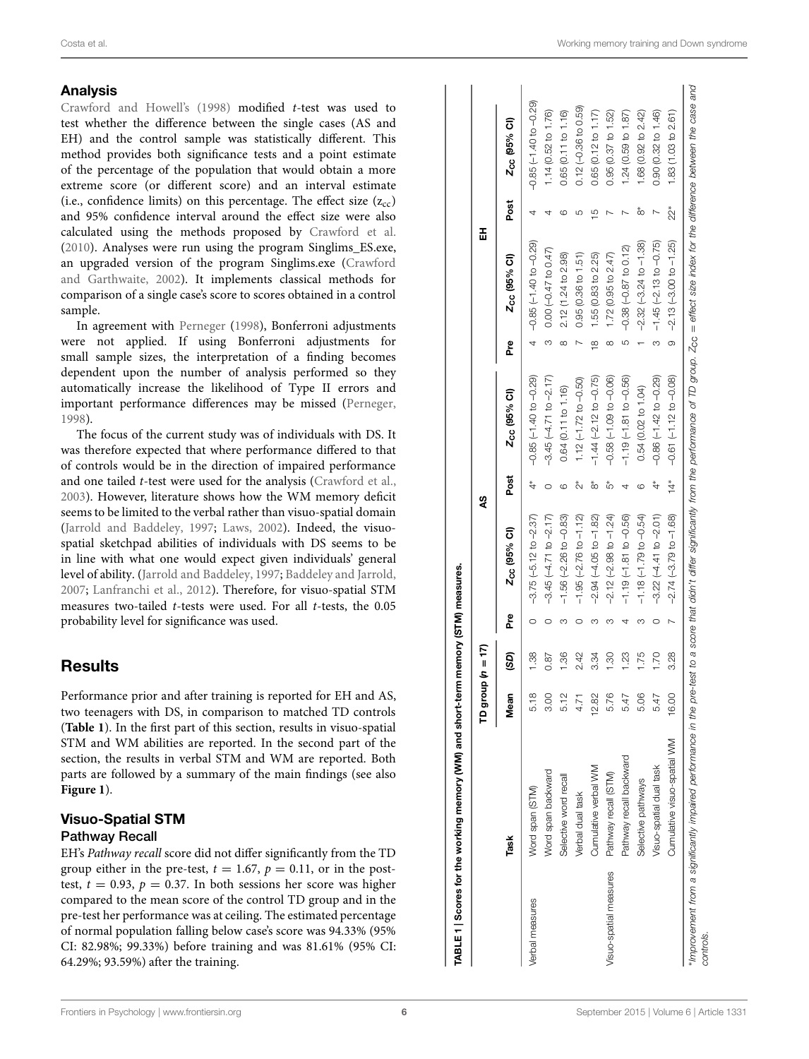### [Analysis](#page-10-31)

Crawford and Howell's [\(1998](#page-10-31)) modified *t*-test was used to test whether the difference between the single cases (AS and EH) and the control sample was statistically different. This method provides both significance tests and a point estimate of the percentage of the population that would obtain a more extreme score (or different score) and an interval estimate (i.e., confidence limits) on this percentage. The effect size  $(z_{cc})$ and 95% confidence interval around the effect size were also calculated using the methods proposed by [Crawford et al.](#page-10-32) [\(2010](#page-10-32)). Analyses were run using the program Singlims\_ES.exe, an upgraded v[ersion of the program Singlims.exe \(](#page-10-33)Crawford and Garthwaite, [2002\)](#page-10-33). It implements classical methods for comparison of a single case's score to scores obtained in a control sample.

In agreement with [Perneger](#page-11-35) [\(1998\)](#page-11-35), Bonferroni adjustments were not applied. If using Bonferroni adjustments for small sample sizes, the interpretation of a finding becomes dependent upon the number of analysis performed so they automatically increase the likelihood of Type II errors and important performance differences may be missed [\(Perneger](#page-11-35), [1998](#page-11-35)).

The focus of the current study was of individuals with DS. It was therefore expected that where performance differed to that of controls would be in the direction of impaired performance and one tailed *t*-test were used for the analysis [\(Crawford et al.](#page-10-34), [2003](#page-10-34)). However, literature shows how the WM memory deficit seems to be limited to the verbal rather than visuo-spatial domain [\(Jarrold and Baddeley, 1997](#page-10-5); [Laws](#page-11-4), [2002](#page-11-4)). Indeed, the visuospatial sketchpad abilities of individuals with DS seems to be in line with what one would expect given individuals' general level of ability. [\(Jarrold and Baddeley](#page-10-5), [1997](#page-10-5); [Baddeley and Jarrold](#page-10-11), [2007](#page-10-11); [Lanfranchi et al.](#page-11-7), [2012\)](#page-11-7). Therefore, for visuo-spatial STM measures two-tailed *t*-tests were used. For all *t*-tests, the 0.05 probability level for significance was used.

# **Results**

Performance prior and after training is reported for EH and AS, two teenagers with DS, in comparison to matched TD controls (**[Table 1](#page-5-0)**). In the first part of this section, results in visuo-spatial STM and WM abilities are reported. In the second part of the section, the results in verbal STM and WM are reported. Both parts are followed by a summary of the main findings (see also **[Figure 1](#page-6-0)**).

# <span id="page-5-0"></span>Visuo-Spatial STM Pathway Recall

EH's *Pathway recall* score did not differ significantly from the TD group either in the pre-test,  $t = 1.67$ ,  $p = 0.11$ , or in the posttest,  $t = 0.93$ ,  $p = 0.37$ . In both sessions her score was higher compared to the mean score of the control TD group and in the pre-test her performance was at ceiling. The estimated percentage of normal population falling below case's score was 94.33% (95% CI: 82.98%; 99.33%) before training and was 81.61% (95% CI: 64.29%; 93.59%) after the training.

|                        |                             | TD group | $n = 17$ |        |                            | 49               |                               |          | 폾                        |                |                          |
|------------------------|-----------------------------|----------|----------|--------|----------------------------|------------------|-------------------------------|----------|--------------------------|----------------|--------------------------|
|                        | Task                        | Mean     | (GS)     | ድ<br>አ | Z <sub>CC</sub> (95% CI)   | Post             | Zcc (95% CI)                  | <u>ድ</u> | Z <sub>CC</sub> (95% CI) | Post           | Z <sub>CC</sub> (95% CI) |
| /erbal measures        | Word span (STM)             | 5.18     | 1.38     |        | $-3.75(-5.12$ to $-2.37)$  |                  | $-0.85(-1.40 to -0.29)$       |          | $-0.85(-1.40 to -0.29)$  |                | $-0.85(-1.40 to -0.29)$  |
|                        | Word span backward          | 3.OO     | 0.87     |        | $-3.45(-4.71 to -2.17)$    |                  | $-3.45(-4.71$ to $-2.17$ )    |          | $0.00 (-0.47 to 0.47)$   |                | 1.14 (0.52 to 1.76)      |
|                        | Selective word recall       | 5.12     | 1.36     |        | $-1.56(-2.26 to -0.83)$    |                  | 0.64 (0.11 to 1.16)           | ∞        | 2.12 (1.24 to 2.98)      |                | 0.65 (0.11 to 1.16)      |
|                        | Verbal dual task            |          | 2.42     |        | $-1.95(-2.76$ to $-1.12$ ) | Å,               | $1.12 (-1.72 to -0.50)$       |          | 0.95(0.36 to 1.51)       |                | $0.12(-0.36 to 0.59)$    |
|                        | Cumulative verbal WM        | 12.82    | 3.34     |        | $-2.94 (-4.05 to -1.82)$   | *∞               | $-1.44$ $(-2.12$ to $-0.75$ ) | e¤       | 1.55(0.83 to 2.25)       | $\frac{10}{1}$ | 0.65(0.12 to 1.17)       |
| /isuo-spatial measures | Pathway recall (STM)        | 5.76     | 1.30     |        | $-2.12(-2.98 to -1.24)$    | ້ ທ              | $-0.58(-1.09 to -0.06)$       | ∞        | 1.72 (0.95 to $2.47$ )   |                | 0.95(0.37 to 1.52)       |
|                        | Pathway recall backward     | 5.47     | 1.23     |        | $-1.19(-1.81 to -0.56)$    |                  | $-1.19(-1.81 to -0.56)$       | 5        | $-0.38(-0.87 to 0.12)$   |                | 1.24 (0.59 to 1.87)      |
|                        | Selective pathways          | 5.06     | 1.75     |        | $-1.18(-1.79 to -0.54)$    |                  | 0.54 (0.02 to 1.04)           |          | $-2.32(-3.24 to -1.38)$  | ã              | 1.68 (0.92 to 2.42)      |
|                        | Visuo-spatial dual task     | 5.47     | 1.70     |        | $-3.22(-4.41 to -2.01)$    |                  | $-0.86(-1.42 to -0.29)$       |          | $-1.45 (-2.13 to -0.75)$ |                | 0.90 (0.32 to 1.46)      |
|                        | Cumulative visuo-spatial WM | 16.00    | 3.28     |        | $-2.74 (-3.79 to -1.68)$   | $\overset{*}{4}$ | $-0.61(-1.12 to -0.08)$       | $\circ$  | $-2.13(-3.00 to -1.25)$  | ្ត្            | 1.83 (1.03 to 2.61)      |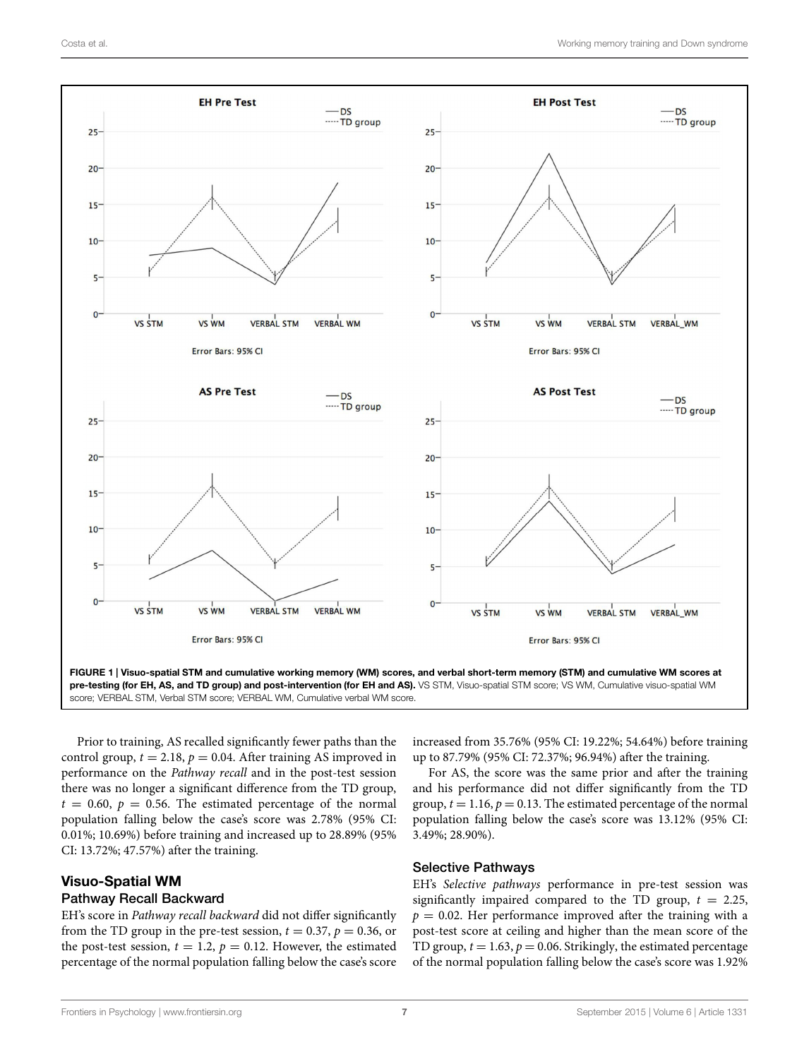

<span id="page-6-0"></span>pre-testing (for EH, AS, and TD group) and post-intervention (for EH and AS). VS STM, Visuo-spatial STM score; VS WM, Cumulative visuo-spatial WM score; VERBAL STM, Verbal STM score; VERBAL WM, Cumulative verbal WM score.

Prior to training, AS recalled significantly fewer paths than the control group,  $t = 2.18$ ,  $p = 0.04$ . After training AS improved in performance on the *Pathway recall* and in the post-test session there was no longer a significant difference from the TD group,  $t = 0.60, p = 0.56$ . The estimated percentage of the normal population falling below the case's score was 2.78% (95% CI: 0.01%; 10.69%) before training and increased up to 28.89% (95% CI: 13.72%; 47.57%) after the training.

# Visuo-Spatial WM

### Pathway Recall Backward

EH's score in *Pathway recall backward* did not differ significantly from the TD group in the pre-test session,  $t = 0.37$ ,  $p = 0.36$ , or the post-test session,  $t = 1.2$ ,  $p = 0.12$ . However, the estimated percentage of the normal population falling below the case's score

increased from 35.76% (95% CI: 19.22%; 54.64%) before training up to 87.79% (95% CI: 72.37%; 96.94%) after the training.

For AS, the score was the same prior and after the training and his performance did not differ significantly from the TD group,  $t = 1.16$ ,  $p = 0.13$ . The estimated percentage of the normal population falling below the case's score was 13.12% (95% CI: 3.49%; 28.90%).

#### Selective Pathways

EH's *Selective pathways* performance in pre-test session was significantly impaired compared to the TD group,  $t = 2.25$ ,  $p = 0.02$ . Her performance improved after the training with a post-test score at ceiling and higher than the mean score of the TD group,  $t = 1.63$ ,  $p = 0.06$ . Strikingly, the estimated percentage of the normal population falling below the case's score was 1.92%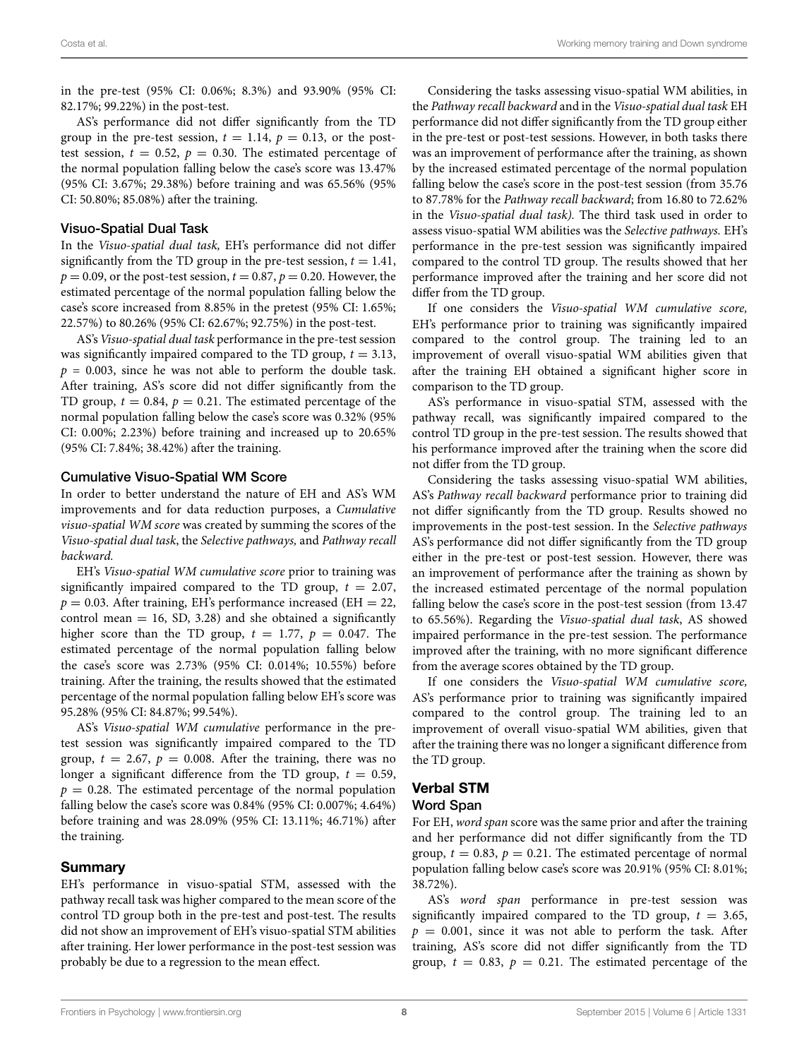in the pre-test (95% CI: 0.06%; 8.3%) and 93.90% (95% CI: 82.17%; 99.22%) in the post-test.

AS's performance did not differ significantly from the TD group in the pre-test session,  $t = 1.14$ ,  $p = 0.13$ , or the posttest session,  $t = 0.52$ ,  $p = 0.30$ . The estimated percentage of the normal population falling below the case's score was 13.47% (95% CI: 3.67%; 29.38%) before training and was 65.56% (95% CI: 50.80%; 85.08%) after the training.

#### Visuo-Spatial Dual Task

In the *Visuo-spatial dual task,* EH's performance did not differ significantly from the TD group in the pre-test session,  $t = 1.41$ ,  $p = 0.09$ , or the post-test session,  $t = 0.87$ ,  $p = 0.20$ . However, the estimated percentage of the normal population falling below the case's score increased from 8.85% in the pretest (95% CI: 1.65%; 22.57%) to 80.26% (95% CI: 62.67%; 92.75%) in the post-test.

AS's*Visuo-spatial dual task* performance in the pre-test session was significantly impaired compared to the TD group,  $t = 3.13$ ,  $p = 0.003$ , since he was not able to perform the double task. After training, AS's score did not differ significantly from the TD group,  $t = 0.84$ ,  $p = 0.21$ . The estimated percentage of the normal population falling below the case's score was 0.32% (95% CI: 0.00%; 2.23%) before training and increased up to 20.65% (95% CI: 7.84%; 38.42%) after the training.

#### Cumulative Visuo-Spatial WM Score

In order to better understand the nature of EH and AS's WM improvements and for data reduction purposes, a *Cumulative visuo-spatial WM score* was created by summing the scores of the *Visuo-spatial dual task*, the *Selective pathways,* and *Pathway recall backward.*

EH's *Visuo-spatial WM cumulative score* prior to training was significantly impaired compared to the TD group,  $t = 2.07$ ,  $p = 0.03$ . After training, EH's performance increased (EH  $= 22$ , control mean  $= 16$ , SD, 3.28) and she obtained a significantly higher score than the TD group,  $t = 1.77$ ,  $p = 0.047$ . The estimated percentage of the normal population falling below the case's score was 2.73% (95% CI: 0.014%; 10.55%) before training. After the training, the results showed that the estimated percentage of the normal population falling below EH's score was 95.28% (95% CI: 84.87%; 99.54%).

AS's *Visuo-spatial WM cumulative* performance in the pretest session was significantly impaired compared to the TD group,  $t = 2.67$ ,  $p = 0.008$ . After the training, there was no longer a significant difference from the TD group,  $t = 0.59$ ,  $p = 0.28$ . The estimated percentage of the normal population falling below the case's score was 0.84% (95% CI: 0.007%; 4.64%) before training and was 28.09% (95% CI: 13.11%; 46.71%) after the training.

#### Summary

EH's performance in visuo-spatial STM, assessed with the pathway recall task was higher compared to the mean score of the control TD group both in the pre-test and post-test. The results did not show an improvement of EH's visuo-spatial STM abilities after training. Her lower performance in the post-test session was probably be due to a regression to the mean effect.

Considering the tasks assessing visuo-spatial WM abilities, in the *Pathway recall backward* and in the *Visuo-spatial dual task* EH performance did not differ significantly from the TD group either in the pre-test or post-test sessions. However, in both tasks there was an improvement of performance after the training, as shown by the increased estimated percentage of the normal population falling below the case's score in the post-test session (from 35.76 to 87.78% for the *Pathway recall backward*; from 16.80 to 72.62% in the *Visuo-spatial dual task).* The third task used in order to assess visuo-spatial WM abilities was the *Selective pathways.* EH's performance in the pre-test session was significantly impaired compared to the control TD group. The results showed that her performance improved after the training and her score did not differ from the TD group.

If one considers the *Visuo-spatial WM cumulative score,* EH's performance prior to training was significantly impaired compared to the control group. The training led to an improvement of overall visuo-spatial WM abilities given that after the training EH obtained a significant higher score in comparison to the TD group.

AS's performance in visuo-spatial STM, assessed with the pathway recall, was significantly impaired compared to the control TD group in the pre-test session. The results showed that his performance improved after the training when the score did not differ from the TD group.

Considering the tasks assessing visuo-spatial WM abilities, AS's *Pathway recall backward* performance prior to training did not differ significantly from the TD group. Results showed no improvements in the post-test session. In the *Selective pathways* AS's performance did not differ significantly from the TD group either in the pre-test or post-test session. However, there was an improvement of performance after the training as shown by the increased estimated percentage of the normal population falling below the case's score in the post-test session (from 13.47 to 65.56%). Regarding the *Visuo-spatial dual task*, AS showed impaired performance in the pre-test session. The performance improved after the training, with no more significant difference from the average scores obtained by the TD group.

If one considers the *Visuo-spatial WM cumulative score,* AS's performance prior to training was significantly impaired compared to the control group. The training led to an improvement of overall visuo-spatial WM abilities, given that after the training there was no longer a significant difference from the TD group.

#### Verbal STM

#### Word Span

For EH, *word span* score was the same prior and after the training and her performance did not differ significantly from the TD group,  $t = 0.83$ ,  $p = 0.21$ . The estimated percentage of normal population falling below case's score was 20.91% (95% CI: 8.01%; 38.72%).

AS's *word span* performance in pre-test session was significantly impaired compared to the TD group,  $t = 3.65$ ,  $p = 0.001$ , since it was not able to perform the task. After training, AS's score did not differ significantly from the TD group,  $t = 0.83$ ,  $p = 0.21$ . The estimated percentage of the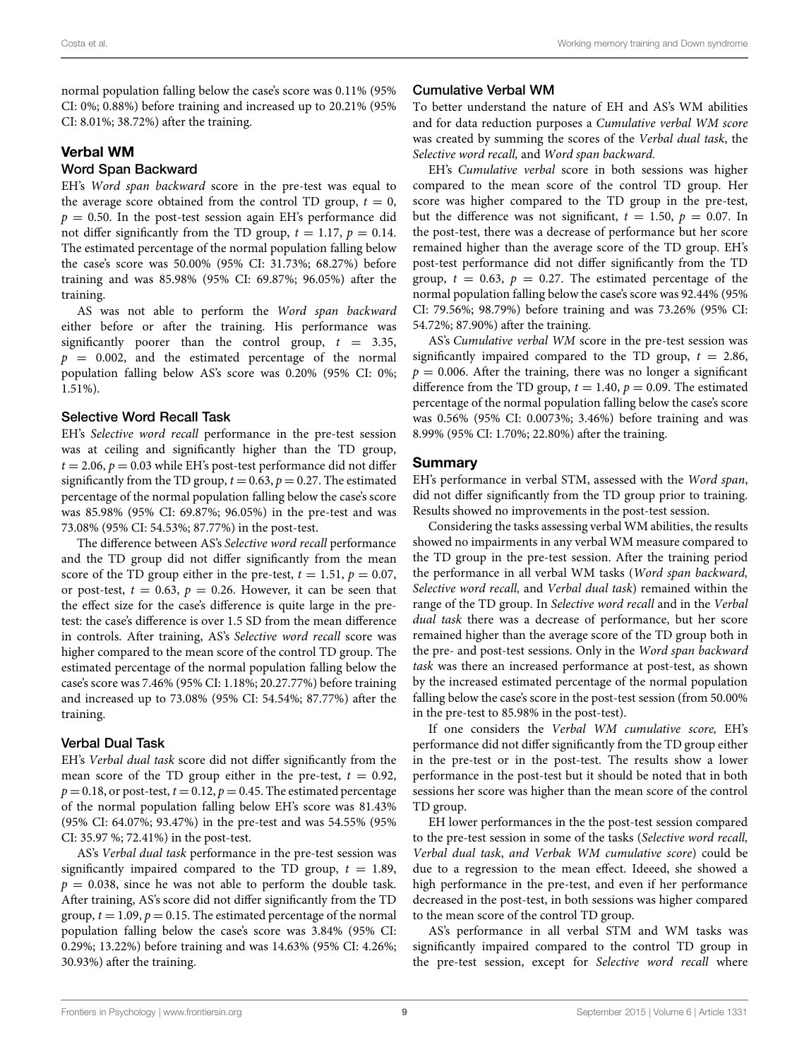normal population falling below the case's score was 0.11% (95% CI: 0%; 0.88%) before training and increased up to 20.21% (95% CI: 8.01%; 38.72%) after the training.

#### Verbal WM

#### Word Span Backward

EH's *Word span backward* score in the pre-test was equal to the average score obtained from the control TD group,  $t = 0$ ,  $p = 0.50$ . In the post-test session again EH's performance did not differ significantly from the TD group,  $t = 1.17$ ,  $p = 0.14$ . The estimated percentage of the normal population falling below the case's score was 50.00% (95% CI: 31.73%; 68.27%) before training and was 85.98% (95% CI: 69.87%; 96.05%) after the training.

AS was not able to perform the *Word span backward* either before or after the training. His performance was significantly poorer than the control group,  $t = 3.35$ ,  $p = 0.002$ , and the estimated percentage of the normal population falling below AS's score was 0.20% (95% CI: 0%; 1.51%).

#### Selective Word Recall Task

EH's *Selective word recall* performance in the pre-test session was at ceiling and significantly higher than the TD group,  $t = 2.06$ ,  $p = 0.03$  while EH's post-test performance did not differ significantly from the TD group,  $t = 0.63$ ,  $p = 0.27$ . The estimated percentage of the normal population falling below the case's score was 85.98% (95% CI: 69.87%; 96.05%) in the pre-test and was 73.08% (95% CI: 54.53%; 87.77%) in the post-test.

The difference between AS's *Selective word recall* performance and the TD group did not differ significantly from the mean score of the TD group either in the pre-test,  $t = 1.51$ ,  $p = 0.07$ , or post-test,  $t = 0.63$ ,  $p = 0.26$ . However, it can be seen that the effect size for the case's difference is quite large in the pretest: the case's difference is over 1.5 SD from the mean difference in controls. After training, AS's *Selective word recall* score was higher compared to the mean score of the control TD group. The estimated percentage of the normal population falling below the case's score was 7.46% (95% CI: 1.18%; 20.27.77%) before training and increased up to 73.08% (95% CI: 54.54%; 87.77%) after the training.

#### Verbal Dual Task

EH's *Verbal dual task* score did not differ significantly from the mean score of the TD group either in the pre-test,  $t = 0.92$ ,  $p = 0.18$ , or post-test,  $t = 0.12$ ,  $p = 0.45$ . The estimated percentage of the normal population falling below EH's score was 81.43% (95% CI: 64.07%; 93.47%) in the pre-test and was 54.55% (95% CI: 35.97 %; 72.41%) in the post-test.

AS's *Verbal dual task* performance in the pre-test session was significantly impaired compared to the TD group,  $t = 1.89$ ,  $p = 0.038$ , since he was not able to perform the double task. After training, AS's score did not differ significantly from the TD group,  $t = 1.09$ ,  $p = 0.15$ . The estimated percentage of the normal population falling below the case's score was 3.84% (95% CI: 0.29%; 13.22%) before training and was 14.63% (95% CI: 4.26%; 30.93%) after the training.

#### Cumulative Verbal WM

To better understand the nature of EH and AS's WM abilities and for data reduction purposes a *Cumulative verbal WM score* was created by summing the scores of the *Verbal dual task*, the *Selective word recall,* and *Word span backward.*

EH's *Cumulative verbal* score in both sessions was higher compared to the mean score of the control TD group. Her score was higher compared to the TD group in the pre-test, but the difference was not significant,  $t = 1.50$ ,  $p = 0.07$ . In the post-test, there was a decrease of performance but her score remained higher than the average score of the TD group. EH's post-test performance did not differ significantly from the TD group,  $t = 0.63$ ,  $p = 0.27$ . The estimated percentage of the normal population falling below the case's score was 92.44% (95% CI: 79.56%; 98.79%) before training and was 73.26% (95% CI: 54.72%; 87.90%) after the training.

AS's *Cumulative verbal WM* score in the pre-test session was significantly impaired compared to the TD group,  $t = 2.86$ ,  $p = 0.006$ . After the training, there was no longer a significant difference from the TD group,  $t = 1.40$ ,  $p = 0.09$ . The estimated percentage of the normal population falling below the case's score was 0.56% (95% CI: 0.0073%; 3.46%) before training and was 8.99% (95% CI: 1.70%; 22.80%) after the training.

#### **Summary**

EH's performance in verbal STM, assessed with the *Word span*, did not differ significantly from the TD group prior to training. Results showed no improvements in the post-test session.

Considering the tasks assessing verbal WM abilities, the results showed no impairments in any verbal WM measure compared to the TD group in the pre-test session. After the training period the performance in all verbal WM tasks (*Word span backward, Selective word recall,* and *Verbal dual task*) remained within the range of the TD group. In *Selective word recall* and in the *Verbal dual task* there was a decrease of performance, but her score remained higher than the average score of the TD group both in the pre- and post-test sessions. Only in the *Word span backward task* was there an increased performance at post-test, as shown by the increased estimated percentage of the normal population falling below the case's score in the post-test session (from 50.00% in the pre-test to 85.98% in the post-test).

If one considers the *Verbal WM cumulative score,* EH's performance did not differ significantly from the TD group either in the pre-test or in the post-test. The results show a lower performance in the post-test but it should be noted that in both sessions her score was higher than the mean score of the control TD group.

EH lower performances in the the post-test session compared to the pre-test session in some of the tasks (*Selective word recall, Verbal dual task*, *and Verbak WM cumulative score*) could be due to a regression to the mean effect. Ideeed, she showed a high performance in the pre-test, and even if her performance decreased in the post-test, in both sessions was higher compared to the mean score of the control TD group.

AS's performance in all verbal STM and WM tasks was significantly impaired compared to the control TD group in the pre-test session, except for *Selective word recall* where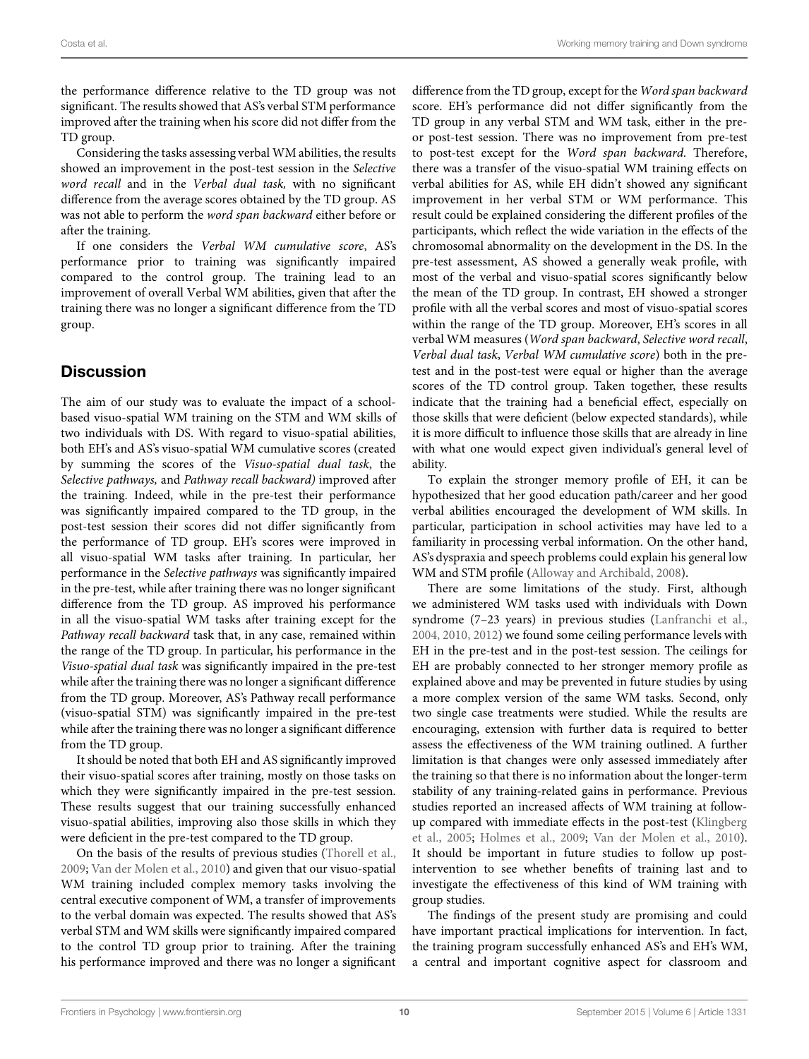the performance difference relative to the TD group was not significant. The results showed that AS's verbal STM performance improved after the training when his score did not differ from the TD group.

Considering the tasks assessing verbal WM abilities, the results showed an improvement in the post-test session in the *Selective word recall* and in the *Verbal dual task,* with no significant difference from the average scores obtained by the TD group. AS was not able to perform the *word span backward* either before or after the training.

If one considers the *Verbal WM cumulative score*, AS's performance prior to training was significantly impaired compared to the control group. The training lead to an improvement of overall Verbal WM abilities, given that after the training there was no longer a significant difference from the TD group.

# **Discussion**

The aim of our study was to evaluate the impact of a schoolbased visuo-spatial WM training on the STM and WM skills of two individuals with DS. With regard to visuo-spatial abilities, both EH's and AS's visuo-spatial WM cumulative scores (created by summing the scores of the *Visuo-spatial dual task*, the *Selective pathways,* and *Pathway recall backward)* improved after the training. Indeed, while in the pre-test their performance was significantly impaired compared to the TD group, in the post-test session their scores did not differ significantly from the performance of TD group. EH's scores were improved in all visuo-spatial WM tasks after training. In particular, her performance in the *Selective pathways* was significantly impaired in the pre-test, while after training there was no longer significant difference from the TD group. AS improved his performance in all the visuo-spatial WM tasks after training except for the *Pathway recall backward* task that, in any case, remained within the range of the TD group. In particular, his performance in the *Visuo-spatial dual task* was significantly impaired in the pre-test while after the training there was no longer a significant difference from the TD group. Moreover, AS's Pathway recall performance (visuo-spatial STM) was significantly impaired in the pre-test while after the training there was no longer a significant difference from the TD group.

It should be noted that both EH and AS significantly improved their visuo-spatial scores after training, mostly on those tasks on which they were significantly impaired in the pre-test session. These results suggest that our training successfully enhanced visuo-spatial abilities, improving also those skills in which they were deficient in the pre-test compared to the TD group.

On the basis of the results of previous studies [\(Thorell et al.](#page-11-21), [2009](#page-11-21); [Van der Molen et al., 2010](#page-11-29)) and given that our visuo-spatial WM training included complex memory tasks involving the central executive component of WM, a transfer of improvements to the verbal domain was expected. The results showed that AS's verbal STM and WM skills were significantly impaired compared to the control TD group prior to training. After the training his performance improved and there was no longer a significant

difference from the TD group, except for the *Word span backward* score. EH's performance did not differ significantly from the TD group in any verbal STM and WM task, either in the preor post-test session. There was no improvement from pre-test to post-test except for the *Word span backward*. Therefore, there was a transfer of the visuo-spatial WM training effects on verbal abilities for AS, while EH didn't showed any significant improvement in her verbal STM or WM performance. This result could be explained considering the different profiles of the participants, which reflect the wide variation in the effects of the chromosomal abnormality on the development in the DS. In the pre-test assessment, AS showed a generally weak profile, with most of the verbal and visuo-spatial scores significantly below the mean of the TD group. In contrast, EH showed a stronger profile with all the verbal scores and most of visuo-spatial scores within the range of the TD group. Moreover, EH's scores in all verbal WM measures (*Word span backward*, *Selective word recall*, *Verbal dual task*, *Verbal WM cumulative score*) both in the pretest and in the post-test were equal or higher than the average scores of the TD control group. Taken together, these results indicate that the training had a beneficial effect, especially on those skills that were deficient (below expected standards), while it is more difficult to influence those skills that are already in line with what one would expect given individual's general level of ability.

To explain the stronger memory profile of EH, it can be hypothesized that her good education path/career and her good verbal abilities encouraged the development of WM skills. In particular, participation in school activities may have led to a familiarity in processing verbal information. On the other hand, AS's dyspraxia and speech problems could explain his general low WM and STM profile [\(Alloway and Archibald, 2008](#page-10-35)).

There are some limitations of the study. First, although we administered WM tasks used with individuals with Down syndrome (7–23 years) in previous studies [\(Lanfranchi et al.](#page-11-8), [2004,](#page-11-8) [2010](#page-11-10), [2012\)](#page-11-7) we found some ceiling performance levels with EH in the pre-test and in the post-test session. The ceilings for EH are probably connected to her stronger memory profile as explained above and may be prevented in future studies by using a more complex version of the same WM tasks. Second, only two single case treatments were studied. While the results are encouraging, extension with further data is required to better assess the effectiveness of the WM training outlined. A further limitation is that changes were only assessed immediately after the training so that there is no information about the longer-term stability of any training-related gains in performance. Previous studies reported an increased affects of WM training at followup c[ompared with immediate effects in the post-test \(](#page-10-36)Klingberg et al., [2005](#page-10-36); [Holmes et al., 2009;](#page-10-23) [Van der Molen et al., 2010\)](#page-11-29). It should be important in future studies to follow up postintervention to see whether benefits of training last and to investigate the effectiveness of this kind of WM training with group studies.

The findings of the present study are promising and could have important practical implications for intervention. In fact, the training program successfully enhanced AS's and EH's WM, a central and important cognitive aspect for classroom and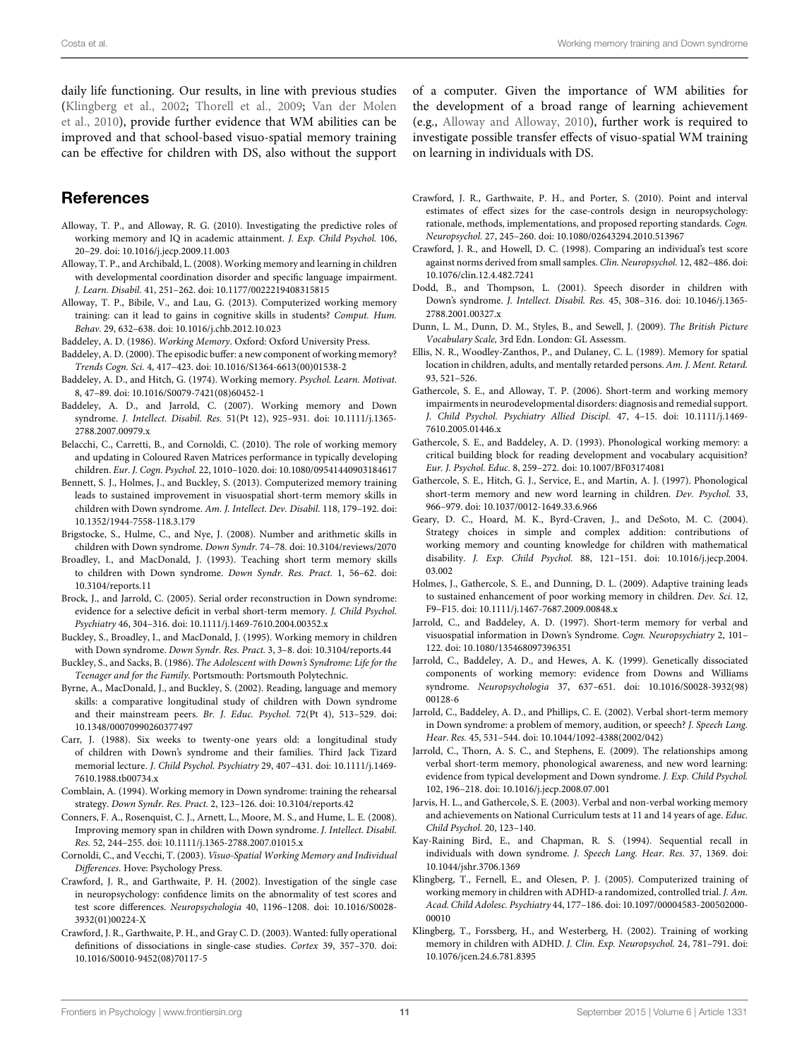daily life functioning. Our results, in line with previous studies [\(Klingberg et al., 2002;](#page-10-37) [Thorell et al.](#page-11-21)[,](#page-11-29) [2009;](#page-11-21) Van der Molen et al., [2010](#page-11-29)), provide further evidence that WM abilities can be improved and that school-based visuo-spatial memory training can be effective for children with DS, also without the support

# **References**

- <span id="page-10-38"></span>Alloway, T. P., and Alloway, R. G. (2010). Investigating the predictive roles of working memory and IQ in academic attainment. *J. Exp. Child Psychol.* 106, 20–29. doi: 10.1016/j.jecp.2009.11.003
- <span id="page-10-35"></span>Alloway, T. P., and Archibald, L. (2008). Working memory and learning in children with developmental coordination disorder and specific language impairment. *J. Learn. Disabil.* 41, 251–262. doi: 10.1177/0022219408315815
- <span id="page-10-24"></span>Alloway, T. P., Bibile, V., and Lau, G. (2013). Computerized working memory training: can it lead to gains in cognitive skills in students? *Comput. Hum. Behav.* 29, 632–638. doi: 10.1016/j.chb.2012.10.023

<span id="page-10-1"></span>Baddeley, A. D. (1986). *Working Memory*. Oxford: Oxford University Press.

- <span id="page-10-3"></span>Baddeley, A. D. (2000). The episodic buffer: a new component of working memory? *Trends Cogn. Sci.* 4, 417–423. doi: 10.1016/S1364-6613(00)01538-2
- <span id="page-10-2"></span>Baddeley, A. D., and Hitch, G. (1974). Working memory. *Psychol. Learn. Motivat.* 8, 47–89. doi: 10.1016/S0079-7421(08)60452-1
- <span id="page-10-11"></span>Baddeley, A. D., and Jarrold, C. (2007). Working memory and Down syndrome. *J. Intellect. Disabil. Res.* 51(Pt 12), 925–931. doi: 10.1111/j.1365- 2788.2007.00979.x
- <span id="page-10-30"></span>Belacchi, C., Carretti, B., and Cornoldi, C. (2010). The role of working memory and updating in Coloured Raven Matrices performance in typically developing children. *Eur. J. Cogn. Psychol.* 22, 1010–1020. doi: 10.1080/09541440903184617
- <span id="page-10-28"></span>Bennett, S. J., Holmes, J., and Buckley, S. (2013). Computerized memory training leads to sustained improvement in visuospatial short-term memory skills in children with Down syndrome. *Am. J. Intellect. Dev. Disabil.* 118, 179–192. doi: 10.1352/1944-7558-118.3.179
- <span id="page-10-18"></span>Brigstocke, S., Hulme, C., and Nye, J. (2008). Number and arithmetic skills in children with Down syndrome. *Down Syndr.* 74–78. doi: 10.3104/reviews/2070
- <span id="page-10-25"></span>Broadley, I., and MacDonald, J. (1993). Teaching short term memory skills to children with Down syndrome. *Down Syndr. Res. Pract.* 1, 56–62. doi: 10.3104/reports.11
- <span id="page-10-6"></span>Brock, J., and Jarrold, C. (2005). Serial order reconstruction in Down syndrome: evidence for a selective deficit in verbal short-term memory. *J. Child Psychol. Psychiatry* 46, 304–316. doi: 10.1111/j.1469-7610.2004.00352.x
- <span id="page-10-8"></span>Buckley, S., Broadley, I., and MacDonald, J. (1995). Working memory in children with Down syndrome. *Down Syndr. Res. Pract.* 3, 3–8. doi: 10.3104/reports.44
- <span id="page-10-19"></span>Buckley, S., and Sacks, B. (1986). *The Adolescent with Down's Syndrome: Life for the Teenager and for the Family.* Portsmouth: Portsmouth Polytechnic.
- <span id="page-10-22"></span>Byrne, A., MacDonald, J., and Buckley, S. (2002). Reading, language and memory skills: a comparative longitudinal study of children with Down syndrome and their mainstream peers. *Br. J. Educ. Psychol.* 72(Pt 4), 513–529. doi: 10.1348/00070990260377497
- <span id="page-10-20"></span>Carr, J. (1988). Six weeks to twenty-one years old: a longitudinal study of children with Down's syndrome and their families. Third Jack Tizard memorial lecture. *J. Child Psychol. Psychiatry* 29, 407–431. doi: 10.1111/j.1469- 7610.1988.tb00734.x
- <span id="page-10-26"></span>Comblain, A. (1994). Working memory in Down syndrome: training the rehearsal strategy. *Down Syndr. Res. Pract.* 2, 123–126. doi: 10.3104/reports.42
- <span id="page-10-27"></span>Conners, F. A., Rosenquist, C. J., Arnett, L., Moore, M. S., and Hume, L. E. (2008). Improving memory span in children with Down syndrome. *J. Intellect. Disabil. Res.* 52, 244–255. doi: 10.1111/j.1365-2788.2007.01015.x
- <span id="page-10-4"></span>Cornoldi, C., and Vecchi, T. (2003). *Visuo-Spatial Working Memory and Individual Differences*. Hove: Psychology Press.
- <span id="page-10-33"></span>Crawford, J. R., and Garthwaite, P. H. (2002). Investigation of the single case in neuropsychology: confidence limits on the abnormality of test scores and test score differences. *Neuropsychologia* 40, 1196–1208. doi: 10.1016/S0028- 3932(01)00224-X
- <span id="page-10-34"></span>Crawford, J. R., Garthwaite, P. H., and Gray C. D. (2003). Wanted: fully operational definitions of dissociations in single-case studies. *Cortex* 39, 357–370. doi: 10.1016/S0010-9452(08)70117-5

of a computer. Given the importance of WM abilities for the development of a broad range of learning achievement (e.g., [Alloway and Alloway, 2010](#page-10-38)), further work is required to investigate possible transfer effects of visuo-spatial WM training on learning in individuals with DS.

- <span id="page-10-32"></span>Crawford, J. R., Garthwaite, P. H., and Porter, S. (2010). Point and interval estimates of effect sizes for the case-controls design in neuropsychology: rationale, methods, implementations, and proposed reporting standards. *Cogn. Neuropsychol.* 27, 245–260. doi: 10.1080/02643294.2010.513967
- <span id="page-10-31"></span>Crawford, J. R., and Howell, D. C. (1998). Comparing an individual's test score against norms derived from small samples. *Clin. Neuropsychol.* 12, 482–486. doi: 10.1076/clin.12.4.482.7241
- <span id="page-10-21"></span>Dodd, B., and Thompson, L. (2001). Speech disorder in children with Down's syndrome. *J. Intellect. Disabil. Res.* 45, 308–316. doi: 10.1046/j.1365- 2788.2001.00327.x
- <span id="page-10-29"></span>Dunn, L. M., Dunn, D. M., Styles, B., and Sewell, J. (2009). *The British Picture Vocabulary Scale,* 3rd Edn. London: GL Assessm.
- <span id="page-10-12"></span>Ellis, N. R., Woodley-Zanthos, P., and Dulaney, C. L. (1989). Memory for spatial location in children, adults, and mentally retarded persons. *Am. J. Ment. Retard.* 93, 521–526.
- <span id="page-10-0"></span>Gathercole, S. E., and Alloway, T. P. (2006). Short-term and working memory impairments in neurodevelopmental disorders: diagnosis and remedial support. *J. Child Psychol. Psychiatry Allied Discipl.* 47, 4–15. doi: 10.1111/j.1469- 7610.2005.01446.x
- <span id="page-10-13"></span>Gathercole, S. E., and Baddeley, A. D. (1993). Phonological working memory: a critical building block for reading development and vocabulary acquisition? *Eur. J. Psychol. Educ.* 8, 259–272. doi: 10.1007/BF03174081
- <span id="page-10-16"></span>Gathercole, S. E., Hitch, G. J., Service, E., and Martin, A. J. (1997). Phonological short-term memory and new word learning in children. *Dev. Psychol.* 33, 966–979. doi: 10.1037/0012-1649.33.6.966
- <span id="page-10-15"></span>Geary, D. C., Hoard, M. K., Byrd-Craven, J., and DeSoto, M. C. (2004). Strategy choices in simple and complex addition: contributions of working memory and counting knowledge for children with mathematical disability. *J. Exp. Child Psychol.* 88, 121–151. doi: 10.1016/j.jecp.2004. 03.002
- <span id="page-10-23"></span>Holmes, J., Gathercole, S. E., and Dunning, D. L. (2009). Adaptive training leads to sustained enhancement of poor working memory in children. *Dev. Sci.* 12, F9–F15. doi: 10.1111/j.1467-7687.2009.00848.x
- <span id="page-10-5"></span>Jarrold, C., and Baddeley, A. D. (1997). Short-term memory for verbal and visuospatial information in Down's Syndrome. *Cogn. Neuropsychiatry* 2, 101– 122. doi: 10.1080/135468097396351
- <span id="page-10-9"></span>Jarrold, C., Baddeley, A. D., and Hewes, A. K. (1999). Genetically dissociated components of working memory: evidence from Downs and Williams syndrome. *Neuropsychologia* 37, 637–651. doi: 10.1016/S0028-3932(98) 00128-6
- <span id="page-10-10"></span>Jarrold, C., Baddeley, A. D., and Phillips, C. E. (2002). Verbal short-term memory in Down syndrome: a problem of memory, audition, or speech? *J. Speech Lang. Hear. Res.* 45, 531–544. doi: 10.1044/1092-4388(2002/042)
- <span id="page-10-17"></span>Jarrold, C., Thorn, A. S. C., and Stephens, E. (2009). The relationships among verbal short-term memory, phonological awareness, and new word learning: evidence from typical development and Down syndrome. *J. Exp. Child Psychol.* 102, 196–218. doi: 10.1016/j.jecp.2008.07.001
- <span id="page-10-14"></span>Jarvis, H. L., and Gathercole, S. E. (2003). Verbal and non-verbal working memory and achievements on National Curriculum tests at 11 and 14 years of age. *Educ. Child Psychol.* 20, 123–140.
- <span id="page-10-7"></span>Kay-Raining Bird, E., and Chapman, R. S. (1994). Sequential recall in individuals with down syndrome. *J. Speech Lang. Hear. Res.* 37, 1369. doi: 10.1044/jshr.3706.1369
- <span id="page-10-36"></span>Klingberg, T., Fernell, E., and Olesen, P. J. (2005). Computerized training of working memory in children with ADHD-a randomized, controlled trial. *J. Am. Acad. Child Adolesc. Psychiatry* 44, 177–186. doi: 10.1097/00004583-200502000- 00010
- <span id="page-10-37"></span>Klingberg, T., Forssberg, H., and Westerberg, H. (2002). Training of working memory in children with ADHD. *J. Clin. Exp. Neuropsychol.* 24, 781–791. doi: 10.1076/jcen.24.6.781.8395